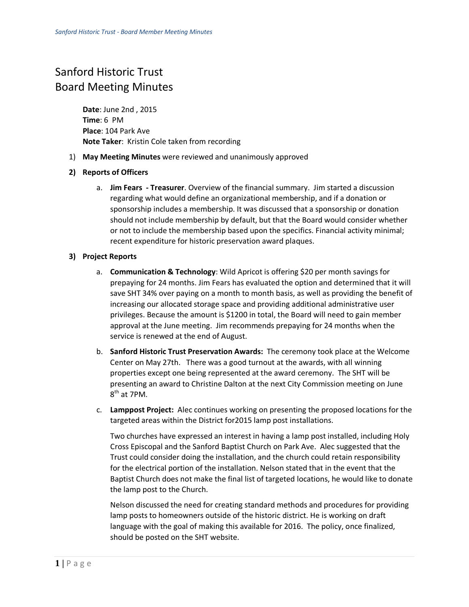## Sanford Historic Trust Board Meeting Minutes

**Date**: June 2nd , 2015 **Time**: 6 PM **Place**: 104 Park Ave **Note Taker**: Kristin Cole taken from recording

1) **May Meeting Minutes** were reviewed and unanimously approved

## **2) Reports of Officers**

a. **Jim Fears - Treasurer**. Overview of the financial summary. Jim started a discussion regarding what would define an organizational membership, and if a donation or sponsorship includes a membership. It was discussed that a sponsorship or donation should not include membership by default, but that the Board would consider whether or not to include the membership based upon the specifics. Financial activity minimal; recent expenditure for historic preservation award plaques.

## **3) Project Reports**

- a. **Communication & Technology**: Wild Apricot is offering \$20 per month savings for prepaying for 24 months. Jim Fears has evaluated the option and determined that it will save SHT 34% over paying on a month to month basis, as well as providing the benefit of increasing our allocated storage space and providing additional administrative user privileges. Because the amount is \$1200 in total, the Board will need to gain member approval at the June meeting. Jim recommends prepaying for 24 months when the service is renewed at the end of August.
- b. **Sanford Historic Trust Preservation Awards:** The ceremony took place at the Welcome Center on May 27th. There was a good turnout at the awards, with all winning properties except one being represented at the award ceremony. The SHT will be presenting an award to Christine Dalton at the next City Commission meeting on June  $8<sup>th</sup>$  at 7PM.
- c. **Lamppost Project:** Alec continues working on presenting the proposed locations for the targeted areas within the District for2015 lamp post installations.

Two churches have expressed an interest in having a lamp post installed, including Holy Cross Episcopal and the Sanford Baptist Church on Park Ave. Alec suggested that the Trust could consider doing the installation, and the church could retain responsibility for the electrical portion of the installation. Nelson stated that in the event that the Baptist Church does not make the final list of targeted locations, he would like to donate the lamp post to the Church.

Nelson discussed the need for creating standard methods and procedures for providing lamp posts to homeowners outside of the historic district. He is working on draft language with the goal of making this available for 2016. The policy, once finalized, should be posted on the SHT website.